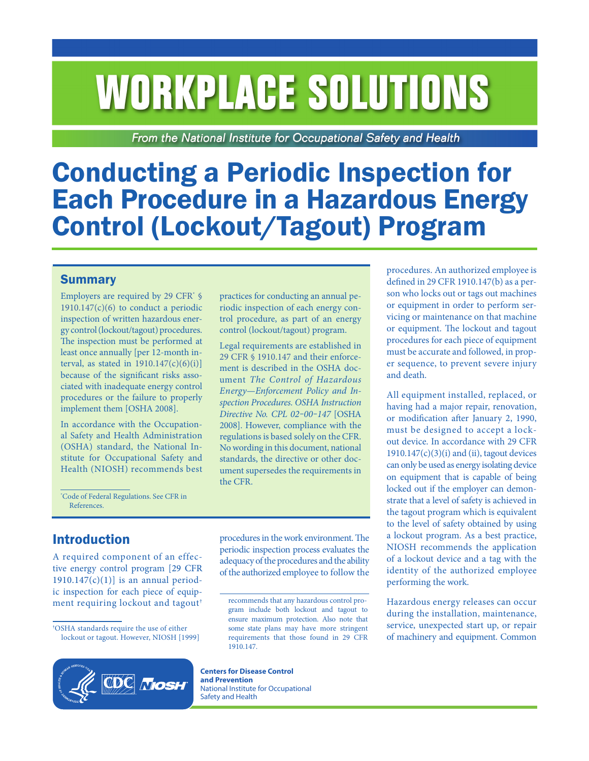# **WORKPLACE SOLUTIONS**

From the National Institute for Occupational Safety and Health

# Conducting a Periodic Inspection for Each Procedure in a Hazardous Energy Control (Lockout/Tagout) Program

#### **Summary**

Employers are required by 29 CFR<sup>\*</sup> §  $1910.147(c)(6)$  to conduct a periodic inspection of written hazardous energy control (lockout/tagout) procedures. The inspection must be performed at least once annually [per 12-month interval, as stated in  $1910.147(c)(6)(i)$ ] because of the significant risks associated with inadequate energy control procedures or the failure to properly implement them [OSHA 2008].

In accordance with the Occupational Safety and Health Administration (OSHA) standard, the National Institute for Occupational Safety and Health (NIOSH) recommends best

practices for conducting an annual periodic inspection of each energy control procedure, as part of an energy control (lockout/tagout) program.

Legal requirements are established in [29 CFR § 1910.147](https://www.osha.gov/laws-regs/regulations/standardnumber/1910/1910.147) and their enforcement is described in the OSHA document *The Control of Hazardous Energy—Enforcement Policy and Inspection Procedures. OSHA Instruction Directive No. CPL 02‒00‒147* [OSHA 2008]. However, compliance with the regulations is based solely on the CFR. No wording in this document, national standards, the directive or other document supersedes the requirements in the CFR.

\* Code of Federal Regulations. See CFR in References.

# Introduction

A required component of an effective energy control program [[29 CFR](https://www.osha.gov/laws-regs/interlinking/standards/1910.147(c)(1)) 1910.147 $(c)(1)$ ] is an annual periodic inspection for each piece of equipment requiring lockout and tagout†

<sup>†</sup> OSHA standards require the use of either lockout or tagout. However, NIOSH [1999]



procedures in the work environment. The periodic inspection process evaluates the adequacy of the procedures and the ability of the authorized employee to follow the

**Centers for Disease Control and Prevention** National Institute for Occupational Safety and Health

procedures. An authorized employee is defined in 29 CFR 1910.147(b) as a person who locks out or tags out machines or equipment in order to perform servicing or maintenance on that machine or equipment. The lockout and tagout procedures for each piece of equipment must be accurate and followed, in proper sequence, to prevent severe injury and death.

All equipment installed, replaced, or having had a major repair, renovation, or modification after January 2, 1990, must be designed to accept a lockout device. In accordance with 29 CFR  $1910.147(c)(3)(i)$  and (ii), tagout devices can only be used as energy isolating device on equipment that is capable of being locked out if the employer can demonstrate that a level of safety is achieved in the tagout program which is equivalent to the level of safety obtained by using a lockout program. As a best practice, NIOSH recommends the application of a lockout device and a tag with the identity of the authorized employee performing the work.

Hazardous energy releases can occur during the installation, maintenance, service, unexpected start up, or repair of machinery and equipment. Common

recommends that any hazardous control program include both lockout and tagout to ensure maximum protection. Also note that some state plans may have more stringent [requirements that those found in 29 CFR](https://www.osha.gov/laws-regs/regulations/standardnumber/1910/1910.147) 1910.147.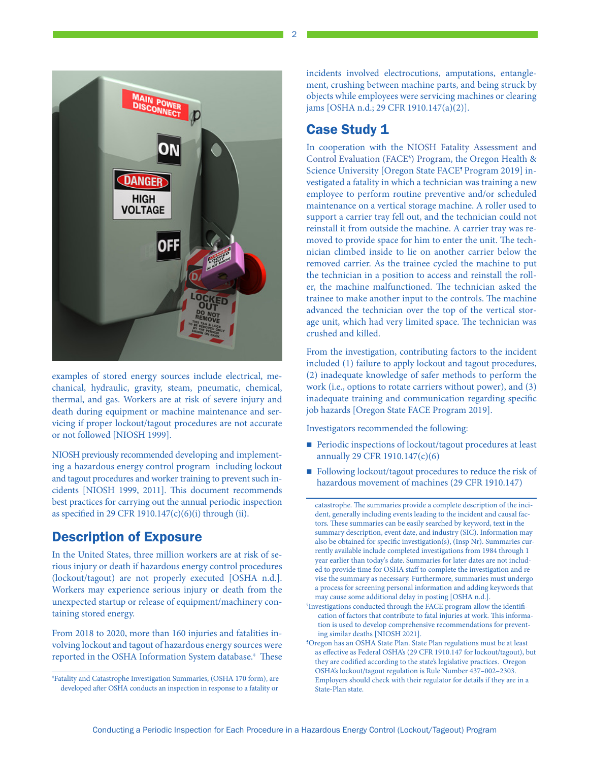

examples of stored energy sources include electrical, mechanical, hydraulic, gravity, steam, pneumatic, chemical, thermal, and gas. Workers are at risk of severe injury and death during equipment or machine maintenance and servicing if proper lockout/tagout procedures are not accurate or not followed [NIOSH 1999].

NIOSH previously recommended developing and implementing a hazardous energy control program including lockout and tagout procedures and worker training to prevent such incidents [NIOSH 1999, 2011]. This document recommends best practices for carrying out the annual periodic inspection as specified in 29 CFR 1910.147 $(c)(6)(i)$  through (ii).

# Description of Exposure

In the United States, three million workers are at risk of serious injury or death if hazardous energy control procedures (lockout/tagout) are not properly executed [OSHA n.d.]. Workers may experience serious injury or death from the unexpected startup or release of equipment/machinery containing stored energy.

From 2018 to 2020, more than 160 injuries and fatalities involving lockout and tagout of hazardous energy sources were reported in the OSHA Information System database.‡ These incidents involved electrocutions, amputations, entanglement, crushing between machine parts, and being struck by objects while employees were servicing machines or clearing jams [OSHA n.d.; 29 CFR 1910.147(a)(2)].

# Case Study 1

In cooperation with the [NIOSH Fatality Assessment and](https://www.cdc.gov/niosh/face/default.html)  [Control Evaluation \(FACE§](https://www.cdc.gov/niosh/face/default.html) ) Program, the Oregon Health & Science University [Oregon State FACE<sup>5</sup> Program 2019] investigated a fatality in which a technician was training a new employee to perform routine preventive and/or scheduled maintenance on a vertical storage machine. A roller used to support a carrier tray fell out, and the technician could not reinstall it from outside the machine. A carrier tray was removed to provide space for him to enter the unit. The technician climbed inside to lie on another carrier below the removed carrier. As the trainee cycled the machine to put the technician in a position to access and reinstall the roller, the machine malfunctioned. The technician asked the trainee to make another input to the controls. The machine advanced the technician over the top of the vertical storage unit, which had very limited space. The technician was crushed and killed.

From the investigation, contributing factors to the incident included (1) failure to apply lockout and tagout procedures, (2) inadequate knowledge of safer methods to perform the work (i.e., options to rotate carriers without power), and (3) inadequate training and communication regarding specific job hazards [Oregon State FACE Program 2019].

Investigators recommended the following:

- Periodic inspections of lockout/tagout procedures at least annually 29 CFR 1910.147(c)(6)
- Following lockout/tagout procedures to reduce the risk of hazardous movement of machines (29 CFR 1910.147)

catastrophe. The summaries provide a complete description of the incident, generally including events leading to the incident and causal factors. These summaries can be easily searched by keyword, text in the summary description, event date, and industry (SIC). Information may also be obtained for specific investigation(s), (Insp Nr). Summaries currently available include completed investigations from 1984 through 1 year earlier than today's date. Summaries for later dates are not included to provide time for OSHA staff to complete the investigation and revise the summary as necessary. Furthermore, summaries must undergo a process for screening personal information and adding keywords that may cause some additional delay in posting [OSHA n.d.].

Conducting a Periodic Inspection for Each Procedure in a Hazardous Energy Control (Lockout/Tageout) Program

2

<sup>‡</sup> Fatality and Catastrophe Investigation Summaries, (OSHA 170 form), are developed after OSHA conducts an inspection in response to a fatality or

<sup>§</sup> Investigations conducted through the FACE program allow the identification of factors that contribute to fatal injuries at work. This information is used to develop comprehensive recommendations for preventing similar deaths [NIOSH 2021].

<sup>¶</sup>Oregon has an OSHA State Plan. State Plan regulations must be at least as effective as Federal OSHA's (29 CFR 1910.147 for lockout/tagout), but they are codified according to the state's legislative practices. Oregon OSHA's lockout/tagout regulation is Rule Number 437–002–2303. Employers should check with their regulator for details if they are in a State-Plan state.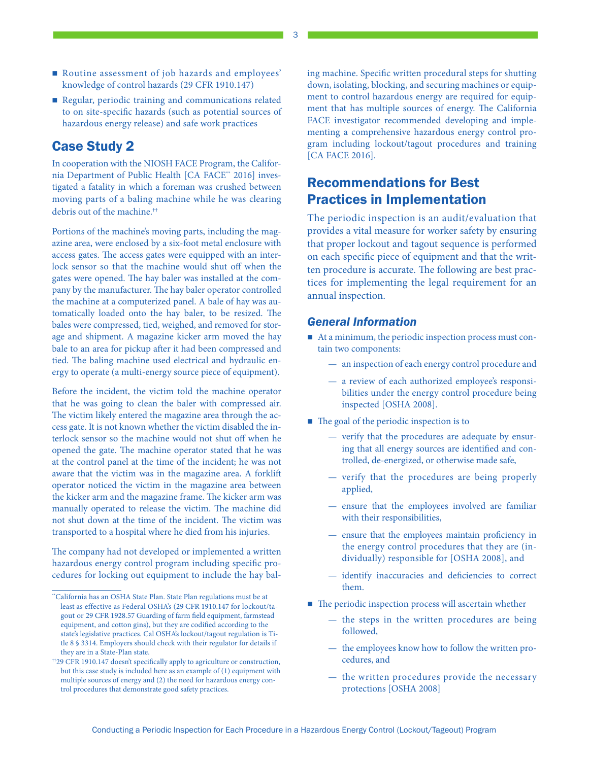- Routine assessment of job hazards and employees' knowledge of control hazards (29 CFR 1910.147)
- Regular, periodic training and communications related to on site-specific hazards (such as potential sources of hazardous energy release) and safe work practices

# Case Study 2

In cooperation with the NIOSH FACE Program, the California Department of Public Health [CA FACE\*\* 2016] investigated a fatality in which a foreman was crushed between moving parts of a baling machine while he was clearing debris out of the machine.††

Portions of the machine's moving parts, including the magazine area, were enclosed by a six-foot metal enclosure with access gates. The access gates were equipped with an interlock sensor so that the machine would shut off when the gates were opened. The hay baler was installed at the company by the manufacturer. The hay baler operator controlled the machine at a computerized panel. A bale of hay was automatically loaded onto the hay baler, to be resized. The bales were compressed, tied, weighed, and removed for storage and shipment. A magazine kicker arm moved the hay bale to an area for pickup after it had been compressed and tied. The baling machine used electrical and hydraulic energy to operate (a multi-energy source piece of equipment).

Before the incident, the victim told the machine operator that he was going to clean the baler with compressed air. The victim likely entered the magazine area through the access gate. It is not known whether the victim disabled the interlock sensor so the machine would not shut off when he opened the gate. The machine operator stated that he was at the control panel at the time of the incident; he was not aware that the victim was in the magazine area. A forklift operator noticed the victim in the magazine area between the kicker arm and the magazine frame. The kicker arm was manually operated to release the victim. The machine did not shut down at the time of the incident. The victim was transported to a hospital where he died from his injuries.

The company had not developed or implemented a written hazardous energy control program including specific procedures for locking out equipment to include the hay bal-

ing machine. Specific written procedural steps for shutting down, isolating, blocking, and securing machines or equipment to control hazardous energy are required for equipment that has multiple sources of energy. The California FACE investigator recommended developing and implementing a comprehensive hazardous energy control program including lockout/tagout procedures and training [CA FACE 2016].

# Recommendations for Best Practices in Implementation

The periodic inspection is an audit/evaluation that provides a vital measure for worker safety by ensuring that proper lockout and tagout sequence is performed on each specific piece of equipment and that the written procedure is accurate. The following are best practices for implementing the legal requirement for an annual inspection.

#### *General Information*

- At a minimum, the periodic inspection process must contain two components:
	- an inspection of each energy control procedure and
	- a review of each authorized employee's responsibilities under the energy control procedure being inspected [OSHA 2008].
- $\blacksquare$  The goal of the periodic inspection is to
	- verify that the procedures are adequate by ensuring that all energy sources are identified and controlled, de-energized, or otherwise made safe,
	- verify that the procedures are being properly applied,
	- ensure that the employees involved are familiar with their responsibilities,
	- ensure that the employees maintain proficiency in the energy control procedures that they are (individually) responsible for [OSHA 2008], and
	- identify inaccuracies and deficiencies to correct them.
- $\blacksquare$  The periodic inspection process will ascertain whether
	- the steps in the written procedures are being followed,
	- the employees know how to follow the written procedures, and
	- the written procedures provide the necessary protections [OSHA 2008]

<sup>\*\*</sup>California has an OSHA State Plan. State Plan regulations must be at least as effective as Federal OSHA's ([29 CFR 1910.147](https://www.osha.gov/laws-regs/regulations/standardnumber/1910/1910.147) for lockout/tagout or [29 CFR 1928.57](https://www.osha.gov/laws-regs/regulations/standardnumber/1928/1928.57) Guarding of farm field equipment, farmstead equipment, and cotton gins), but they are codified according to the state's legislative practices. Cal OSHA's lockout/tagout regulation is Title 8 § 3314. Employers should check with their regulator for details if they are in a State-Plan state.

<sup>††29</sup> CFR 1910.147 doesn't specifically apply to agriculture or construction, but this case study is included here as an example of (1) equipment with multiple sources of energy and (2) the need for hazardous energy control procedures that demonstrate good safety practices.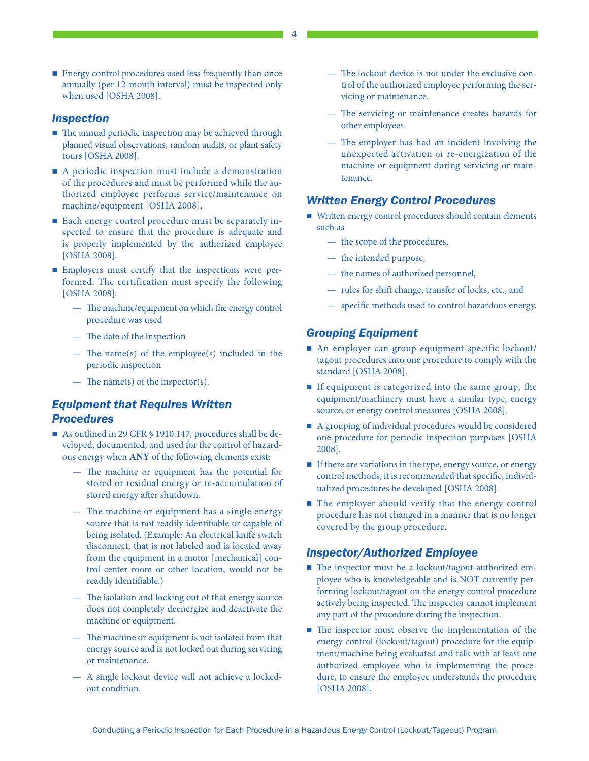■ Energy control procedures used less frequently than once annually (per 12-month interval) must be inspected only when used [OSHA 2008].

#### *Inspection*

- $\blacksquare$  The annual periodic inspection may be achieved through planned visual observations, random audits, or plant safety tours [OSHA 2008].
- A periodic inspection must include a demonstration of the procedures and must be performed while the authorized employee performs service/maintenance on machine/equipment [OSHA 2008].
- Each energy control procedure must be separately inspected to ensure that the procedure is adequate and is properly implemented by the authorized employee [OSHA 2008].
- **Employers must certify that the inspections were per**formed. The certification must specify the following [OSHA 2008]:
	- The machine/equipment on which the energy control procedure was used
	- The date of the inspection
	- The name(s) of the employee(s) included in the periodic inspection
	- The name(s) of the inspector(s).

#### *Equipment that Requires Written Procedures*

- As outlined in 29 CFR § 1910.147, procedures shall be developed, documented, and used for the control of hazardous energy when **ANY** of the following elements exist:
	- The machine or equipment has the potential for stored or residual energy or re-accumulation of stored energy after shutdown.
	- The machine or equipment has a single energy source that is not readily identifiable or capable of being isolated. (Example: An electrical knife switch disconnect, that is not labeled and is located away from the equipment in a motor [mechanical] control center room or other location, would not be readily identifiable.)
	- The isolation and locking out of that energy source does not completely deenergize and deactivate the machine or equipment.
	- The machine or equipment is not isolated from that energy source and is not locked out during servicing or maintenance.
	- A single lockout device will not achieve a lockedout condition.
- The lockout device is not under the exclusive control of the authorized employee performing the servicing or maintenance.
- The servicing or maintenance creates hazards for other employees.
- The employer has had an incident involving the unexpected activation or re-energization of the machine or equipment during servicing or maintenance.

#### *Written Energy Control Procedures*

- Written energy control procedures should contain elements such as
	- the scope of the procedures,
	- the intended purpose,
	- the names of authorized personnel,
	- rules for shift change, transfer of locks, etc., and
	- specific methods used to control hazardous energy.

#### *Grouping Equipment*

- An employer can group equipment-specific lockout/ tagout procedures into one procedure to comply with the standard [OSHA 2008].
- If equipment is categorized into the same group, the equipment/machinery must have a similar type, energy source, or energy control measures [OSHA 2008].
- A grouping of individual procedures would be considered one procedure for periodic inspection purposes [OSHA 2008].
- If there are variations in the type, energy source, or energy control methods, it is recommended that specific, individualized procedures be developed [OSHA 2008].
- $\blacksquare$  The employer should verify that the energy control procedure has not changed in a manner that is no longer covered by the group procedure.

#### *Inspector/Authorized Employee*

- The inspector must be a lockout/tagout-authorized employee who is knowledgeable and is NOT currently performing lockout/tagout on the energy control procedure actively being inspected. The inspector cannot implement any part of the procedure during the inspection.
- The inspector must observe the implementation of the energy control (lockout/tagout) procedure for the equipment/machine being evaluated and talk with at least one authorized employee who is implementing the procedure, to ensure the employee understands the procedure [OSHA 2008].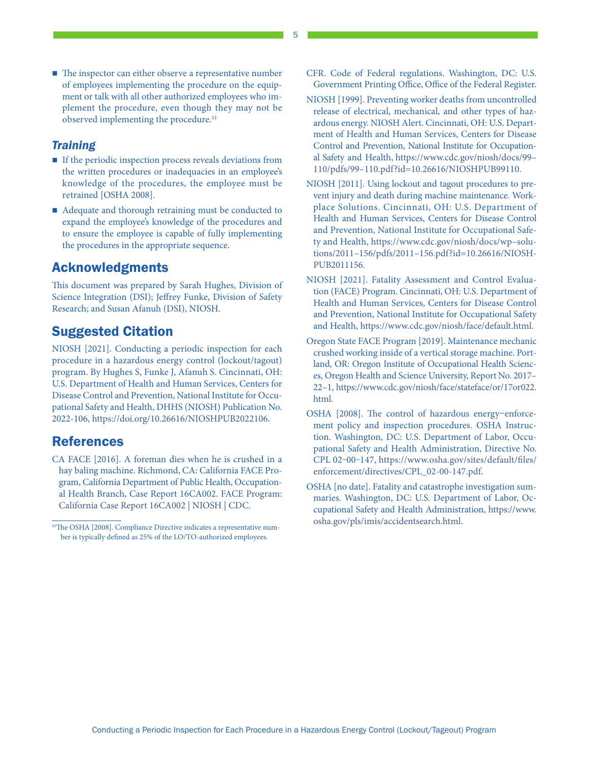■ The inspector can either observe a representative number of employees implementing the procedure on the equipment or talk with all other authorized employees who implement the procedure, even though they may not be observed implementing the procedure.‡‡

#### *Training*

- If the periodic inspection process reveals deviations from the written procedures or inadequacies in an employee's knowledge of the procedures, the employee must be retrained [OSHA 2008].
- Adequate and thorough retraining must be conducted to expand the employee's knowledge of the procedures and to ensure the employee is capable of fully implementing the procedures in the appropriate sequence.

# Acknowledgments

This document was prepared by Sarah Hughes, Division of Science Integration (DSI); Jeffrey Funke, Division of Safety Research; and Susan Afanuh (DSI), NIOSH.

# Suggested Citation

NIOSH [2021]. Conducting a periodic inspection for each procedure in a hazardous energy control (lockout/tagout) program. By Hughes S, Funke J, Afanuh S. Cincinnati, OH: U.S. Department of Health and Human Services, Centers for Disease Control and Prevention, National Institute for Occupational Safety and Health, DHHS (NIOSH) Publication No. 2022-106, <https://doi.org/10.26616/NIOSHPUB2022106>.

#### References

- CA FACE [2016]. A foreman dies when he is crushed in a hay baling machine. Richmond, CA: California FACE Program, California Department of Public Health, Occupational Health Branch, Case Report 16CA002. [FACE Program:](https://www.cdc.gov/niosh/face/stateface/ca/16ca002.html) [California Case Report 16CA002 | NIOSH | CDC.](https://www.cdc.gov/niosh/face/stateface/ca/16ca002.html)
- #The OSHA [2008]. Compliance Directive indicates a representative number is typically defined as 25% of the LO/TO-authorized employees.
- CFR. Code of Federal regulations. Washington, DC: U.S. Government Printing Office, Office of the Federal Register.
- NIOSH [1999]. Preventing worker deaths from uncontrolled release of electrical, mechanical, and other types of hazardous energy. NIOSH Alert. Cincinnati, OH: U.S. Department of Health and Human Services, Centers for Disease Control and Prevention, National Institute for Occupational Safety and Health, [https://www.cdc.gov/niosh/docs/99–](https://www.cdc.gov/niosh/docs/99-110/pdfs/99-110.pdf?id=10.26616/NIOSHPUB99110) [110/pdfs/99–110.pdf?id=10.26616/NIOSHPUB99110.](https://www.cdc.gov/niosh/docs/99-110/pdfs/99-110.pdf?id=10.26616/NIOSHPUB99110)
- NIOSH [2011]. Using lockout and tagout procedures to prevent injury and death during machine maintenance. Workplace Solutions. Cincinnati, OH: U.S. Department of Health and Human Services, Centers for Disease Control and Prevention, National Institute for Occupational Safety and Health, [https://www.cdc.gov/niosh/docs/wp–solu](https://www.cdc.gov/niosh/docs/wp-solutions/2011-156/pdfs/2011-156.pdf?id=10.26616/NIOSHPUB2011156 )[tions/2011–156/pdfs/2011–156.pdf?id=10.26616/NIOSH-](https://www.cdc.gov/niosh/docs/wp-solutions/2011-156/pdfs/2011-156.pdf?id=10.26616/NIOSHPUB2011156 )[PUB2011156.](https://www.cdc.gov/niosh/docs/wp-solutions/2011-156/pdfs/2011-156.pdf?id=10.26616/NIOSHPUB2011156 )
- NIOSH [2021]. Fatality Assessment and Control Evaluation (FACE) Program. Cincinnati, OH: U.S. Department of Health and Human Services, Centers for Disease Control and Prevention, National Institute for Occupational Safety and Health, [https://www.cdc.gov/niosh/face/default.html.](https://www.cdc.gov/niosh/face/default.html)
- Oregon State FACE Program [2019]. Maintenance mechanic crushed working inside of a vertical storage machine. Portland, OR: Oregon Institute of Occupational Health Sciences, Oregon Health and Science University, Report No. 2017– 22–1, [https://www.cdc.gov/niosh/face/stateface/or/17or022.](https://www.cdc.gov/niosh/face/stateface/or/17or022.html) [html.](https://www.cdc.gov/niosh/face/stateface/or/17or022.html)
- OSHA [2008]. The control of hazardous energy–enforcement policy and inspection procedures. OSHA Instruction. Washington, DC: U.S. Department of Labor, Occupational Safety and Health Administration, Directive No. CPL 02-00-147, [https://www.osha.gov/sites/default/files/](https://www.osha.gov/sites/default/files/enforcement/directives/CPL_02-00-147.pdf) [enforcement/directives/CPL\\_02-00-147.pdf](https://www.osha.gov/sites/default/files/enforcement/directives/CPL_02-00-147.pdf).
- OSHA [no date]. Fatality and catastrophe investigation summaries. Washington, DC: U.S. Department of Labor, Occupational Safety and Health Administration, [https://www.](https://www.osha.gov/pls/imis/accidentsearch.html) [osha.gov/pls/imis/accidentsearch.html](https://www.osha.gov/pls/imis/accidentsearch.html).